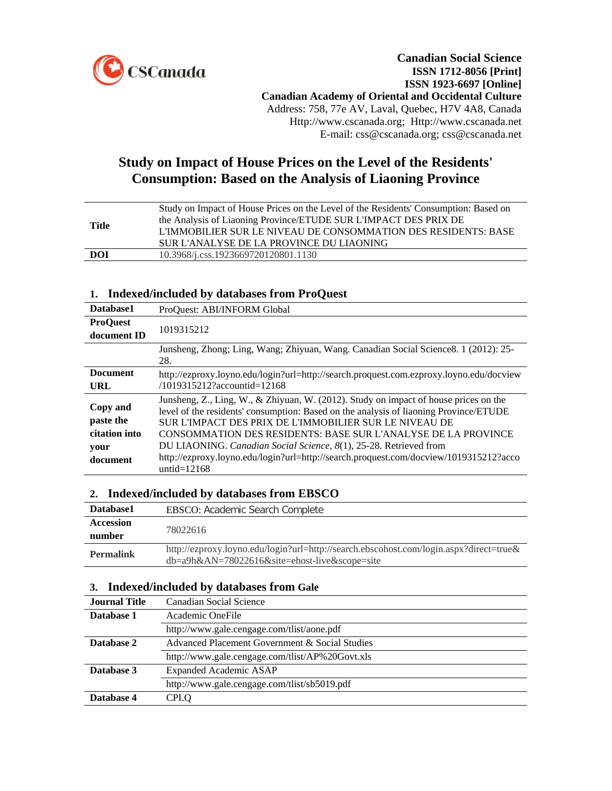

# **Study on Impact of House Prices on the Level of the Residents' Consumption: Based on the Analysis of Liaoning Province**

| Title | Study on Impact of House Prices on the Level of the Residents' Consumption: Based on<br>the Analysis of Liaoning Province/ETUDE SUR L'IMPACT DES PRIX DE<br>L'IMMOBILIER SUR LE NIVEAU DE CONSOMMATION DES RESIDENTS: BASE<br>SUR L'ANALYSE DE LA PROVINCE DU LIAONING |
|-------|------------------------------------------------------------------------------------------------------------------------------------------------------------------------------------------------------------------------------------------------------------------------|
| DOI   | 10.3968/j.css.1923669720120801.1130                                                                                                                                                                                                                                    |
|       |                                                                                                                                                                                                                                                                        |

## **1. Indexed/included by databases from ProQuest**

| Database1                                                  | ProQuest: ABI/INFORM Global                                                                                                                                                                                                                                                                                                                                                                                                                                                                     |
|------------------------------------------------------------|-------------------------------------------------------------------------------------------------------------------------------------------------------------------------------------------------------------------------------------------------------------------------------------------------------------------------------------------------------------------------------------------------------------------------------------------------------------------------------------------------|
| <b>ProOuest</b><br>document ID                             | 1019315212                                                                                                                                                                                                                                                                                                                                                                                                                                                                                      |
|                                                            | Junsheng, Zhong; Ling, Wang; Zhiyuan, Wang. Canadian Social Science 8. 1 (2012): 25-<br>28.                                                                                                                                                                                                                                                                                                                                                                                                     |
| <b>Document</b><br>URL                                     | http://ezproxy.loyno.edu/login?url=http://search.proquest.com.ezproxy.loyno.edu/docview<br>/1019315212?accountid=12168                                                                                                                                                                                                                                                                                                                                                                          |
| Copy and<br>paste the<br>citation into<br>your<br>document | Junsheng, Z., Ling, W., & Zhiyuan, W. (2012). Study on impact of house prices on the<br>level of the residents' consumption: Based on the analysis of liaoning Province/ETUDE<br>SUR L'IMPACT DES PRIX DE L'IMMOBILIER SUR LE NIVEAU DE<br><b>CONSOMMATION DES RESIDENTS: BASE SUR L'ANALYSE DE LA PROVINCE</b><br>DU LIAONING. Canadian Social Science, 8(1), 25-28. Retrieved from<br>http://ezproxy.loyno.edu/login?url=http://search.proquest.com/docview/1019315212?acco<br>untid= $12168$ |

## **2. Indexed/included by databases from EBSCO**

| Database1        | <b>EBSCO:</b> Academic Search Complete                                                                                                                  |
|------------------|---------------------------------------------------------------------------------------------------------------------------------------------------------|
| <b>Accession</b> |                                                                                                                                                         |
| number           | 78022616                                                                                                                                                |
| <b>Permalink</b> | http://ezproxy.loyno.edu/login?url=http://search.ebscohost.com/login.aspx?direct=true&<br>$db = a9h&AN = 78022616&site = \text{ehost-live}$ &scope=site |

#### **3. Indexed/included by databases from Gale**

| <b>Journal Title</b> | Canadian Social Science                         |
|----------------------|-------------------------------------------------|
| Database 1           | Academic OneFile                                |
|                      | http://www.gale.cengage.com/tlist/aone.pdf      |
| Database 2           | Advanced Placement Government & Social Studies  |
|                      | http://www.gale.cengage.com/tlist/AP%20Govt.xls |
| Database 3           | <b>Expanded Academic ASAP</b>                   |
|                      | http://www.gale.cengage.com/tlist/sb5019.pdf    |
| Database 4           | CPI.O                                           |